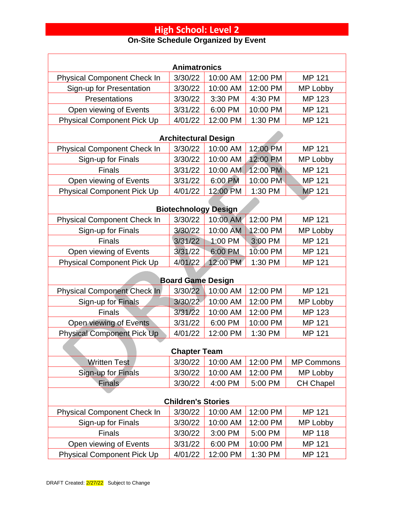| <b>Animatronics</b>                |                             |          |          |                   |  |  |
|------------------------------------|-----------------------------|----------|----------|-------------------|--|--|
| <b>Physical Component Check In</b> | 3/30/22                     | 10:00 AM | 12:00 PM | MP 121            |  |  |
| Sign-up for Presentation           | 3/30/22                     | 10:00 AM | 12:00 PM | MP Lobby          |  |  |
| Presentations                      | 3/30/22                     | 3:30 PM  | 4:30 PM  | <b>MP 123</b>     |  |  |
| Open viewing of Events             | 3/31/22                     | 6:00 PM  | 10:00 PM | MP 121            |  |  |
| <b>Physical Component Pick Up</b>  | 4/01/22                     | 12:00 PM | 1:30 PM  | <b>MP 121</b>     |  |  |
|                                    | <b>Architectural Design</b> |          |          |                   |  |  |
| <b>Physical Component Check In</b> | 3/30/22                     | 10:00 AM | 12:00 PM | MP 121            |  |  |
| Sign-up for Finals                 | 3/30/22                     | 10:00 AM | 12:00 PM | MP Lobby          |  |  |
| <b>Finals</b>                      | 3/31/22                     | 10:00 AM | 12:00 PM | MP 121            |  |  |
| Open viewing of Events             | 3/31/22                     | 6:00 PM  | 10:00 PM | MP 121            |  |  |
| <b>Physical Component Pick Up</b>  | 4/01/22                     | 12:00 PM | 1:30 PM  | <b>MP 121</b>     |  |  |
|                                    | <b>Biotechnology Design</b> |          |          |                   |  |  |
| <b>Physical Component Check In</b> | 3/30/22                     | 10:00 AM | 12:00 PM | <b>MP 121</b>     |  |  |
| Sign-up for Finals                 | 3/30/22                     | 10:00 AM | 12:00 PM | MP Lobby          |  |  |
| <b>Finals</b>                      | 3/31/22                     | 1:00 PM  | 3:00 PM  | MP 121            |  |  |
| Open viewing of Events             | 3/31/22                     | 6:00 PM  | 10:00 PM | MP 121            |  |  |
| <b>Physical Component Pick Up</b>  | 4/01/22                     | 12:00 PM | 1:30 PM  | MP 121            |  |  |
| <b>Board Game Design</b>           |                             |          |          |                   |  |  |
| <b>Physical Component Check In</b> | 3/30/22                     | 10:00 AM | 12:00 PM | <b>MP 121</b>     |  |  |
| Sign-up for Finals                 | 3/30/22                     | 10:00 AM | 12:00 PM | MP Lobby          |  |  |
| <b>Finals</b>                      | 3/31/22                     | 10:00 AM | 12:00 PM | MP 123            |  |  |
| Open viewing of Events             | 3/31/22                     | 6:00 PM  | 10:00 PM | MP 121            |  |  |
| <b>Physical Component Pick Up</b>  | 4/01/22                     | 12:00 PM | 1:30 PM  | MP 121            |  |  |
| <b>Chapter Team</b>                |                             |          |          |                   |  |  |
| <b>Written Test</b>                | 3/30/22                     | 10:00 AM | 12:00 PM | <b>MP Commons</b> |  |  |
| Sign-up for Finals                 | 3/30/22                     | 10:00 AM | 12:00 PM | MP Lobby          |  |  |
| <b>Finals</b>                      | 3/30/22                     | 4:00 PM  | 5:00 PM  | <b>CH Chapel</b>  |  |  |
| <b>Children's Stories</b>          |                             |          |          |                   |  |  |
| <b>Physical Component Check In</b> | 3/30/22                     | 10:00 AM | 12:00 PM | MP 121            |  |  |
| Sign-up for Finals                 | 3/30/22                     | 10:00 AM | 12:00 PM | MP Lobby          |  |  |
| <b>Finals</b>                      | 3/30/22                     | 3:00 PM  | 5:00 PM  | MP 118            |  |  |
| Open viewing of Events             | 3/31/22                     | 6:00 PM  | 10:00 PM | MP 121            |  |  |
| <b>Physical Component Pick Up</b>  | 4/01/22                     | 12:00 PM | 1:30 PM  | MP 121            |  |  |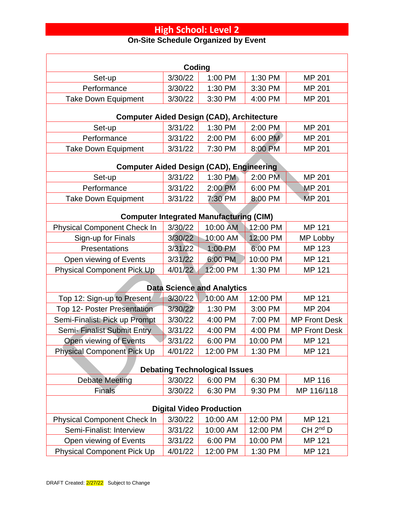| Coding                                                      |                    |                                                |                      |                      |  |
|-------------------------------------------------------------|--------------------|------------------------------------------------|----------------------|----------------------|--|
| Set-up                                                      | 3/30/22            | 1:00 PM                                        | 1:30 PM              | MP 201               |  |
| Performance                                                 | 3/30/22            | 1:30 PM                                        | 3:30 PM              | MP 201               |  |
| <b>Take Down Equipment</b>                                  | 3/30/22            | 3:30 PM                                        | 4:00 PM              | MP 201               |  |
| <b>Computer Aided Design (CAD), Architecture</b>            |                    |                                                |                      |                      |  |
| Set-up                                                      | 3/31/22            | 1:30 PM                                        | 2:00 PM              | MP 201               |  |
| Performance                                                 | 3/31/22            | 2:00 PM                                        | 6:00 PM              | MP 201               |  |
| <b>Take Down Equipment</b>                                  | 3/31/22            | 7:30 PM                                        | 8:00 PM              | MP 201               |  |
| <b>Computer Aided Design (CAD), Engineering</b>             |                    |                                                |                      |                      |  |
| Set-up                                                      | 3/31/22            | 1:30 PM                                        | 2:00 PM              | MP 201               |  |
| Performance                                                 | 3/31/22            | 2:00 PM                                        | 6:00 PM              | <b>MP 201</b>        |  |
| <b>Take Down Equipment</b>                                  | 3/31/22            | 7:30 PM                                        | 8:00 PM              | <b>MP 201</b>        |  |
|                                                             |                    |                                                |                      |                      |  |
|                                                             |                    | <b>Computer Integrated Manufacturing (CIM)</b> |                      |                      |  |
| <b>Physical Component Check In</b>                          | 3/30/22            | 10:00 AM                                       | 12:00 PM<br>12:00 PM | MP 121               |  |
| Sign-up for Finals<br>Presentations                         | 3/30/22            | 10:00 AM                                       | 6:00 PM              | MP Lobby             |  |
|                                                             | 3/31/22<br>3/31/22 | 1:00 PM<br>6:00 PM                             | 10:00 PM             | MP 123<br>MP 121     |  |
| Open viewing of Events<br><b>Physical Component Pick Up</b> | 4/01/22            | 12:00 PM                                       | 1:30 PM              | MP 121               |  |
|                                                             |                    |                                                |                      |                      |  |
|                                                             |                    | <b>Data Science and Analytics</b>              |                      |                      |  |
| Top 12: Sign-up to Present                                  | 3/30/22            | 10:00 AM                                       | 12:00 PM             | MP 121               |  |
| <b>Top 12- Poster Presentation</b>                          | 3/30/22            | 1:30 PM                                        | 3:00 PM              | MP 204               |  |
| Semi-Finalist: Pick up Prompt                               | 3/30/22            | 4:00 PM                                        | 7:00 PM              | <b>MP Front Desk</b> |  |
| Semi-Finalist Submit Entry                                  | 3/31/22            | 4:00 PM                                        | 4:00 PM              | <b>MP Front Desk</b> |  |
| Open viewing of Events                                      | 3/31/22            | 6:00 PM                                        | 10:00 PM             | MP 121               |  |
| <b>Physical Component Pick Up</b>                           | 4/01/22            | 12:00 PM                                       | 1:30 PM              | MP 121               |  |
| <b>Debating Technological Issues</b>                        |                    |                                                |                      |                      |  |
| <b>Debate Meeting</b>                                       | 3/30/22            | 6:00 PM                                        | 6:30 PM              | MP 116               |  |
| <b>Finals</b>                                               | 3/30/22            | 6:30 PM                                        | 9:30 PM              | MP 116/118           |  |
| <b>Digital Video Production</b>                             |                    |                                                |                      |                      |  |
| <b>Physical Component Check In</b>                          | 3/30/22            | 10:00 AM                                       | 12:00 PM             | MP 121               |  |
| Semi-Finalist: Interview                                    | 3/31/22            | 10:00 AM                                       | 12:00 PM             | CH 2 <sup>nd</sup> D |  |
| Open viewing of Events                                      | 3/31/22            | 6:00 PM                                        | 10:00 PM             | MP 121               |  |
| <b>Physical Component Pick Up</b>                           | 4/01/22            | 12:00 PM                                       | 1:30 PM              | MP 121               |  |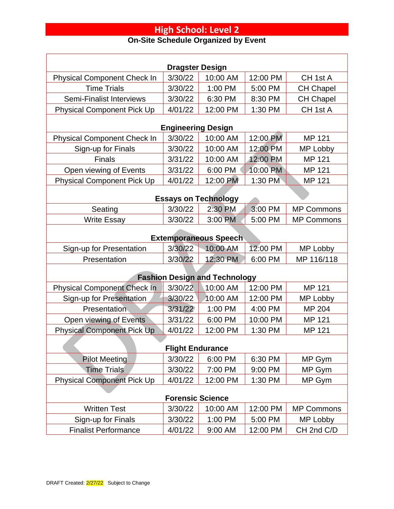| <b>Dragster Design</b>               |                           |          |          |                   |  |  |
|--------------------------------------|---------------------------|----------|----------|-------------------|--|--|
| <b>Physical Component Check In</b>   | 3/30/22                   | 10:00 AM | 12:00 PM | CH 1st A          |  |  |
| <b>Time Trials</b>                   | 3/30/22                   | 1:00 PM  | 5:00 PM  | <b>CH Chapel</b>  |  |  |
| <b>Semi-Finalist Interviews</b>      | 3/30/22                   | 6:30 PM  | 8:30 PM  | <b>CH Chapel</b>  |  |  |
| <b>Physical Component Pick Up</b>    | 4/01/22                   | 12:00 PM | 1:30 PM  | CH 1st A          |  |  |
|                                      | <b>Engineering Design</b> |          |          |                   |  |  |
| <b>Physical Component Check In</b>   | 3/30/22                   | 10:00 AM | 12:00 PM | MP 121            |  |  |
| Sign-up for Finals                   | 3/30/22                   | 10:00 AM | 12:00 PM | MP Lobby          |  |  |
| <b>Finals</b>                        | 3/31/22                   | 10:00 AM | 12:00 PM | MP 121            |  |  |
| Open viewing of Events               | 3/31/22                   | 6:00 PM  | 10:00 PM | MP 121            |  |  |
| <b>Physical Component Pick Up</b>    | 4/01/22                   | 12:00 PM | 1:30 PM  | MP 121            |  |  |
| <b>Essays on Technology</b>          |                           |          |          |                   |  |  |
| Seating                              | 3/30/22                   | 2:30 PM  | 3:00 PM  | <b>MP Commons</b> |  |  |
| <b>Write Essay</b>                   | 3/30/22                   | 3:00 PM  | 5:00 PM  | <b>MP Commons</b> |  |  |
| <b>Extemporaneous Speech</b>         |                           |          |          |                   |  |  |
| Sign-up for Presentation             | 3/30/22                   | 10:00 AM | 12:00 PM | MP Lobby          |  |  |
| Presentation                         | 3/30/22                   | 12:30 PM | 6:00 PM  | MP 116/118        |  |  |
| <b>Fashion Design and Technology</b> |                           |          |          |                   |  |  |
| Physical Component Check In          | 3/30/22                   | 10:00 AM | 12:00 PM | MP 121            |  |  |
| Sign-up for Presentation             | 3/30/22                   | 10:00 AM | 12:00 PM | MP Lobby          |  |  |
| Presentation                         | 3/31/22                   | 1:00 PM  | 4:00 PM  | MP 204            |  |  |
| Open viewing of Events               | 3/31/22                   | 6:00 PM  | 10:00 PM | MP 121            |  |  |
| <b>Physical Component Pick Up</b>    | 4/01/22                   | 12:00 PM | 1:30 PM  | MP 121            |  |  |
| <b>Flight Endurance</b>              |                           |          |          |                   |  |  |
| <b>Pilot Meeting</b>                 | 3/30/22                   | 6:00 PM  | 6:30 PM  | MP Gym            |  |  |
| <b>Time Trials</b>                   | 3/30/22                   | 7:00 PM  | 9:00 PM  | MP Gym            |  |  |
| <b>Physical Component Pick Up</b>    | 4/01/22                   | 12:00 PM | 1:30 PM  | MP Gym            |  |  |
| <b>Forensic Science</b>              |                           |          |          |                   |  |  |
| <b>Written Test</b>                  | 3/30/22                   | 10:00 AM | 12:00 PM | <b>MP Commons</b> |  |  |
| Sign-up for Finals                   | 3/30/22                   | 1:00 PM  | 5:00 PM  | MP Lobby          |  |  |
| <b>Finalist Performance</b>          | 4/01/22                   | 9:00 AM  | 12:00 PM | CH 2nd C/D        |  |  |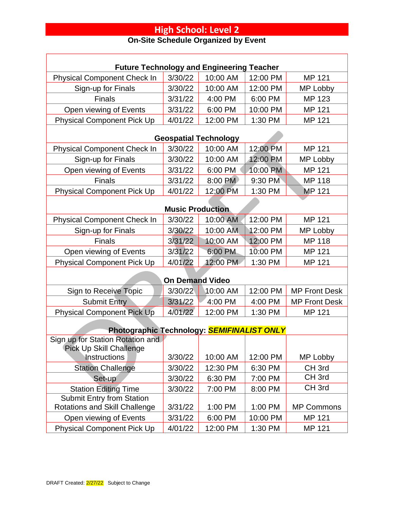| <b>Future Technology and Engineering Teacher</b>                                      |                         |                              |          |                      |  |  |
|---------------------------------------------------------------------------------------|-------------------------|------------------------------|----------|----------------------|--|--|
| <b>Physical Component Check In</b>                                                    | 3/30/22                 | 10:00 AM                     | 12:00 PM | MP 121               |  |  |
| Sign-up for Finals                                                                    | 3/30/22                 | 10:00 AM                     | 12:00 PM | MP Lobby             |  |  |
| <b>Finals</b>                                                                         | 3/31/22                 | 4:00 PM                      | 6:00 PM  | MP 123               |  |  |
| Open viewing of Events                                                                | 3/31/22                 | 6:00 PM                      | 10:00 PM | <b>MP 121</b>        |  |  |
| <b>Physical Component Pick Up</b>                                                     | 4/01/22                 | 12:00 PM                     | 1:30 PM  | MP 121               |  |  |
|                                                                                       |                         | <b>Geospatial Technology</b> |          |                      |  |  |
| <b>Physical Component Check In</b>                                                    | 3/30/22                 | 10:00 AM                     | 12:00 PM | MP 121               |  |  |
| Sign-up for Finals                                                                    | 3/30/22                 | 10:00 AM                     | 12:00 PM | MP Lobby             |  |  |
| Open viewing of Events                                                                | 3/31/22                 | 6:00 PM                      | 10:00 PM | MP 121               |  |  |
| <b>Finals</b>                                                                         | 3/31/22                 | 8:00 PM                      | 9:30 PM  | <b>MP 118</b>        |  |  |
| <b>Physical Component Pick Up</b>                                                     | 4/01/22                 | 12:00 PM                     | 1:30 PM  | <b>MP 121</b>        |  |  |
|                                                                                       | <b>Music Production</b> |                              |          |                      |  |  |
| <b>Physical Component Check In</b>                                                    | 3/30/22                 | 10:00 AM                     | 12:00 PM | <b>MP 121</b>        |  |  |
| Sign-up for Finals                                                                    | 3/30/22                 | 10:00 AM                     | 12:00 PM | MP Lobby             |  |  |
| <b>Finals</b>                                                                         | 3/31/22                 | 10:00 AM                     | 12:00 PM | <b>MP 118</b>        |  |  |
| Open viewing of Events                                                                | 3/31/22                 | 6:00 PM                      | 10:00 PM | MP 121               |  |  |
| <b>Physical Component Pick Up</b>                                                     | 4/01/22                 | 12:00 PM                     | 1:30 PM  | MP 121               |  |  |
|                                                                                       |                         |                              |          |                      |  |  |
|                                                                                       | <b>On Demand Video</b>  |                              |          |                      |  |  |
| Sign to Receive Topic                                                                 | 3/30/22                 | 10:00 AM                     | 12:00 PM | <b>MP Front Desk</b> |  |  |
| <b>Submit Entry</b>                                                                   | 3/31/22                 | 4:00 PM                      | 4:00 PM  | <b>MP Front Desk</b> |  |  |
| <b>Physical Component Pick Up</b>                                                     | 4/01/22                 | 12:00 PM                     | 1:30 PM  | MP 121               |  |  |
|                                                                                       |                         |                              |          |                      |  |  |
| Photographic Technology: <b>SEMIFINALIST ONLY</b><br>Sign up for Station Rotation and |                         |                              |          |                      |  |  |
| <b>Pick Up Skill Challenge</b>                                                        |                         |                              |          |                      |  |  |
| Instructions                                                                          | 3/30/22                 | 10:00 AM                     | 12:00 PM | MP Lobby             |  |  |
| <b>Station Challenge</b>                                                              | 3/30/22                 | 12:30 PM                     | 6:30 PM  | CH <sub>3rd</sub>    |  |  |
| Set-up                                                                                | 3/30/22                 | 6:30 PM                      | 7:00 PM  | CH <sub>3rd</sub>    |  |  |
| <b>Station Editing Time</b>                                                           | 3/30/22                 | 7:00 PM                      | 8:00 PM  | CH <sub>3rd</sub>    |  |  |
| <b>Submit Entry from Station</b>                                                      |                         |                              |          |                      |  |  |
| Rotations and Skill Challenge                                                         | 3/31/22                 | 1:00 PM                      | 1:00 PM  | <b>MP Commons</b>    |  |  |
| Open viewing of Events                                                                | 3/31/22                 | 6:00 PM                      | 10:00 PM | MP 121               |  |  |
| <b>Physical Component Pick Up</b>                                                     | 4/01/22                 | 12:00 PM                     | 1:30 PM  | MP 121               |  |  |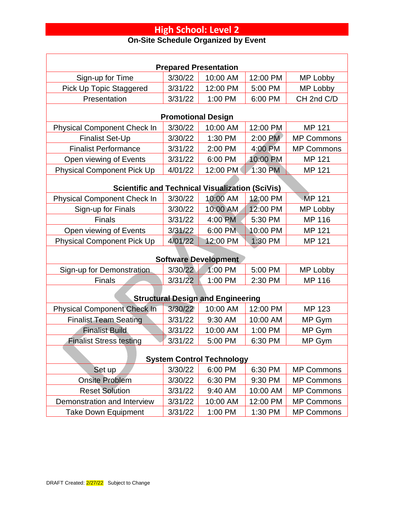| <b>Prepared Presentation</b>                           |                           |                    |                     |                   |  |  |
|--------------------------------------------------------|---------------------------|--------------------|---------------------|-------------------|--|--|
| Sign-up for Time                                       | 3/30/22                   | 10:00 AM           | 12:00 PM            | MP Lobby          |  |  |
| Pick Up Topic Staggered                                | 3/31/22                   | 12:00 PM           | 5:00 PM             | MP Lobby          |  |  |
| Presentation                                           | 3/31/22                   | 1:00 PM            | 6:00 PM             | CH 2nd C/D        |  |  |
|                                                        | <b>Promotional Design</b> |                    |                     |                   |  |  |
| <b>Physical Component Check In</b>                     | 3/30/22                   | 10:00 AM           | 12:00 PM            | MP 121            |  |  |
| <b>Finalist Set-Up</b>                                 | 3/30/22                   | 1:30 PM            | 2:00 PM             | <b>MP Commons</b> |  |  |
| <b>Finalist Performance</b>                            | 3/31/22                   | 2:00 PM            | 4:00 PM             | <b>MP Commons</b> |  |  |
| Open viewing of Events                                 | 3/31/22                   | 6:00 PM            | 10:00 PM            | MP 121            |  |  |
| <b>Physical Component Pick Up</b>                      | 4/01/22                   | 12:00 PM           | 1:30 PM             | MP 121            |  |  |
|                                                        |                           |                    |                     |                   |  |  |
| <b>Scientific and Technical Visualization (SciVis)</b> |                           | 10:00 AM           | 12:00 PM            | <b>MP 121</b>     |  |  |
| <b>Physical Component Check In</b>                     | 3/30/22                   |                    |                     |                   |  |  |
| Sign-up for Finals<br><b>Finals</b>                    | 3/30/22                   | 10:00 AM           | 12:00 PM            | MP Lobby          |  |  |
|                                                        | 3/31/22                   | 4:00 PM<br>6:00 PM | 5:30 PM<br>10:00 PM | MP 116<br>MP 121  |  |  |
| Open viewing of Events                                 | 3/31/22<br>4/01/22        | 12:00 PM           | 1:30 PM             | MP 121            |  |  |
| <b>Physical Component Pick Up</b>                      |                           |                    |                     |                   |  |  |
| <b>Software Development</b>                            |                           |                    |                     |                   |  |  |
| Sign-up for Demonstration                              | 3/30/22                   | 1:00 PM            | 5:00 PM             | MP Lobby          |  |  |
| <b>Finals</b>                                          | 3/31/22                   | 1:00 PM            | 2:30 PM             | MP 116            |  |  |
| <b>Structural Design and Engineering</b>               |                           |                    |                     |                   |  |  |
| <b>Physical Component Check In</b>                     | 3/30/22                   | 10:00 AM           | 12:00 PM            | <b>MP 123</b>     |  |  |
| <b>Finalist Team Seating</b>                           | 3/31/22                   | 9:30 AM            | 10:00 AM            | MP Gym            |  |  |
| <b>Finalist Build</b>                                  | 3/31/22                   | 10:00 AM           | 1:00 PM             | MP Gym            |  |  |
| <b>Finalist Stress testing</b>                         | 3/31/22                   | 5:00 PM            | 6:30 PM             | MP Gym            |  |  |
| <b>System Control Technology</b>                       |                           |                    |                     |                   |  |  |
| Set up                                                 | 3/30/22                   | 6:00 PM            | 6:30 PM             | <b>MP Commons</b> |  |  |
| <b>Onsite Problem</b>                                  | 3/30/22                   | 6:30 PM            | 9:30 PM             | <b>MP Commons</b> |  |  |
| <b>Reset Solution</b>                                  | 3/31/22                   | 9:40 AM            | 10:00 AM            | <b>MP Commons</b> |  |  |
| Demonstration and Interview                            | 3/31/22                   | 10:00 AM           | 12:00 PM            | <b>MP Commons</b> |  |  |
| <b>Take Down Equipment</b>                             | 3/31/22                   | 1:00 PM            | 1:30 PM             | <b>MP Commons</b> |  |  |